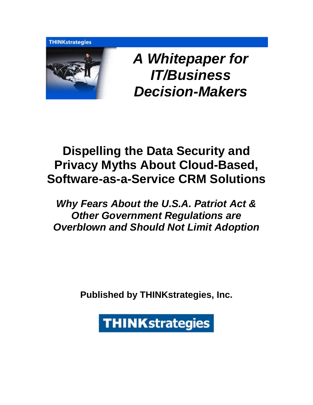**THINKstrategies** 



*A Whitepaper for IT/Business Decision-Makers* 

# **Dispelling the Data Security and Privacy Myths About Cloud-Based, Software-as-a-Service CRM Solutions**

## *Why Fears About the U.S.A. Patriot Act & Other Government Regulations are Overblown and Should Not Limit Adoption*

**Published by THINKstrategies, Inc.**

**THINKstrategies**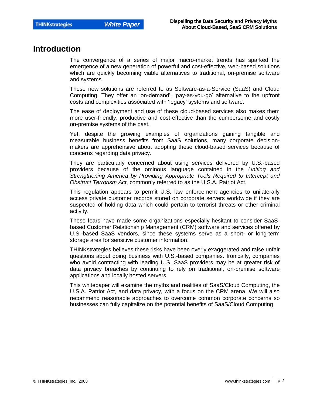### **Introduction**

The convergence of a series of major macro-market trends has sparked the emergence of a new generation of powerful and cost-effective, web-based solutions which are quickly becoming viable alternatives to traditional, on-premise software and systems.

These new solutions are referred to as Software-as-a-Service (SaaS) and Cloud Computing. They offer an "on-demand", "pay-as-you-go" alternative to the upfront costs and complexities associated with "legacy" systems and software.

The ease of deployment and use of these cloud-based services also makes them more user-friendly, productive and cost-effective than the cumbersome and costly on-premise systems of the past.

Yet, despite the growing examples of organizations gaining tangible and measurable business benefits from SaaS solutions, many corporate decisionmakers are apprehensive about adopting these cloud-based services because of concerns regarding data privacy.

They are particularly concerned about using services delivered by U.S.-based providers because of the ominous language contained in the *Uniting and Strengthening America by Providing Appropriate Tools Required to Intercept and Obstruct Terrorism Act*, commonly referred to as the U.S.A. Patriot Act.

This regulation appears to permit U.S. law enforcement agencies to unilaterally access private customer records stored on corporate servers worldwide if they are suspected of holding data which could pertain to terrorist threats or other criminal activity.

These fears have made some organizations especially hesitant to consider SaaSbased Customer Relationship Management (CRM) software and services offered by U.S.-based SaaS vendors, since these systems serve as a short- or long-term storage area for sensitive customer information.

THINKstrategies believes these risks have been overly exaggerated and raise unfair questions about doing business with U.S.-based companies. Ironically, companies who avoid contracting with leading U.S. SaaS providers may be at greater risk of data privacy breaches by continuing to rely on traditional, on-premise software applications and locally hosted servers.

This whitepaper will examine the myths and realities of SaaS/Cloud Computing, the U.S.A. Patriot Act, and data privacy, with a focus on the CRM arena. We will also recommend reasonable approaches to overcome common corporate concerns so businesses can fully capitalize on the potential benefits of SaaS/Cloud Computing.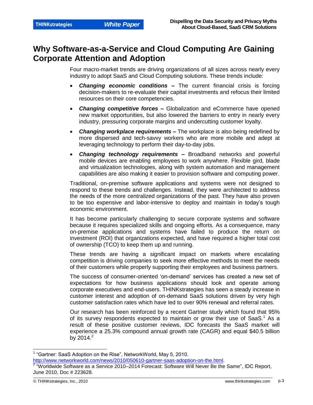### **Why Software-as-a-Service and Cloud Computing Are Gaining Corporate Attention and Adoption**

Four macro-market trends are driving organizations of all sizes across nearly every industry to adopt SaaS and Cloud Computing solutions. These trends include:

- *Changing economic conditions –* The current financial crisis is forcing decision-makers to re-evaluate their capital investments and refocus their limited resources on their core competencies.
- *Changing competitive forces –* Globalization and eCommerce have opened new market opportunities, but also lowered the barriers to entry in nearly every industry, pressuring corporate margins and undercutting customer loyalty.
- *Changing workplace requirements –* The workplace is also being redefined by more dispersed and tech-savvy workers who are more mobile and adept at leveraging technology to perform their day-to-day jobs.
- *Changing technology requirements –* Broadband networks and powerful mobile devices are enabling employees to work anywhere. Flexible gird, blade and virtualization technologies, along with system automation and management capabilities are also making it easier to provision software and computing power.

Traditional, on-premise software applications and systems were not designed to respond to these trends and challenges. Instead, they were architected to address the needs of the more centralized organizations of the past. They have also proven to be too expensive and labor-intensive to deploy and maintain in today"s tough economic environment.

It has become particularly challenging to secure corporate systems and software because it requires specialized skills and ongoing efforts. As a consequence, many on-premise applications and systems have failed to produce the return on investment (ROI) that organizations expected, and have required a higher total cost of ownership (TCO) to keep them up and running.

These trends are having a significant impact on markets where escalating competition is driving companies to seek more effective methods to meet the needs of their customers while properly supporting their employees and business partners.

The success of consumer-oriented "on-demand" services has created a new set of expectations for how business applications should look and operate among corporate executives and end-users. THINKstrategies has seen a steady increase in customer interest and adoption of on-demand SaaS solutions driven by very high customer satisfaction rates which have led to over 90% renewal and referral rates.

Our research has been reinforced by a recent Gartner study which found that 95% of its survey respondents expected to maintain or grow their use of SaaS.<sup>1</sup> As a result of these positive customer reviews, IDC forecasts the SaaS market will experience a 25.3% compound annual growth rate (CAGR) and equal \$40.5 billion by 2014. $^{2}$ 

l

<sup>&</sup>lt;sup>1</sup> "Gartner: SaaS Adoption on the Rise", NetworkWorld, May 5, 2010. [http://www.networkworld.com/news/2010/050610-gartner-saas-adoption-on-the.html.](http://www.networkworld.com/news/2010/050610-gartner-saas-adoption-on-the.html)

 $2$  "Worldwide Software as a Service 2010–2014 Forecast: Software Will Never Be the Same", IDC Report, June 2010, Doc # 223628.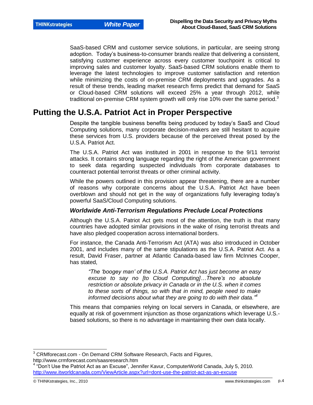SaaS-based CRM and customer service solutions, in particular, are seeing strong adoption. Today"s business-to-consumer brands realize that delivering a consistent, satisfying customer experience across every customer touchpoint is critical to improving sales and customer loyalty. SaaS-based CRM solutions enable them to leverage the latest technologies to improve customer satisfaction and retention while minimizing the costs of on-premise CRM deployments and upgrades. As a result of these trends, leading market research firms predict that demand for SaaS or Cloud-based CRM solutions will exceed 25% a year through 2012, while traditional on-premise CRM system growth will only rise 10% over the same period. $3$ 

### **Putting the U.S.A. Patriot Act in Proper Perspective**

Despite the tangible business benefits being produced by today"s SaaS and Cloud Computing solutions, many corporate decision-makers are still hesitant to acquire these services from U.S. providers because of the perceived threat posed by the U.S.A. Patriot Act.

The U.S.A. Patriot Act was instituted in 2001 in response to the 9/11 terrorist attacks. It contains strong language regarding the right of the American government to seek data regarding suspected individuals from corporate databases to counteract potential terrorist threats or other criminal activity.

While the powers outlined in this provision appear threatening, there are a number of reasons why corporate concerns about the U.S.A. Patriot Act have been overblown and should not get in the way of organizations fully leveraging today"s powerful SaaS/Cloud Computing solutions.

### *Worldwide Anti-Terrorism Regulations Preclude Local Protections*

Although the U.S.A. Patriot Act gets most of the attention, the truth is that many countries have adopted similar provisions in the wake of rising terrorist threats and have also pledged cooperation across international borders.

For instance, the Canada Anti-Terrorism Act (ATA) was also introduced in October 2001, and includes many of the same stipulations as the U.S.A. Patriot Act. As a result, David Fraser, partner at Atlantic Canada-based law firm McInnes Cooper, has stated,

*"The "boogey man" of the U.S.A. Patriot Act has just become an easy excuse to say no [to Cloud Computing]…There"s no absolute restriction or absolute privacy in Canada or in the U.S. when it comes to these sorts of things, so with that in mind, people need to make informed decisions about what they are going to do with their data." 4*

This means that companies relying on local servers in Canada, or elsewhere, are equally at risk of government injunction as those organizations which leverage U.S. based solutions, so there is no advantage in maintaining their own data locally.

l

<sup>&</sup>lt;sup>3</sup> CRMforecast.com - On Demand CRM Software Research, Facts and Figures, http://www.crmforecast.com/saasresearch.htm

<sup>&</sup>lt;sup>4</sup> "Don't Use the Patriot Act as an Excuse", Jennifer Kavur, ComputerWorld Canada, July 5, 2010. <http://www.itworldcanada.com/ViewArticle.aspx?url=dont-use-the-patriot-act-as-an-excuse>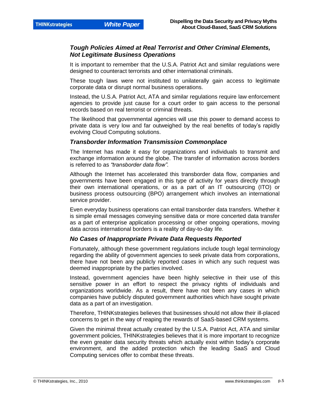### *Tough Policies Aimed at Real Terrorist and Other Criminal Elements, Not Legitimate Business Operations*

It is important to remember that the U.S.A. Patriot Act and similar regulations were designed to counteract terrorists and other international criminals.

These tough laws were not instituted to unilaterally gain access to legitimate corporate data or disrupt normal business operations.

Instead, the U.S.A. Patriot Act, ATA and similar regulations require law enforcement agencies to provide just cause for a court order to gain access to the personal records based on real terrorist or criminal threats.

The likelihood that governmental agencies will use this power to demand access to private data is very low and far outweighed by the real benefits of today"s rapidly evolving Cloud Computing solutions.

#### *Transborder Information Transmission Commonplace*

The Internet has made it easy for organizations and individuals to transmit and exchange information around the globe. The transfer of information across borders is referred to as *"transborder data flow".*

Although the Internet has accelerated this transborder data flow, companies and governments have been engaged in this type of activity for years directly through their own international operations, or as a part of an IT outsourcing (ITO) or business process outsourcing (BPO) arrangement which involves an international service provider.

Even everyday business operations can entail transborder data transfers. Whether it is simple email messages conveying sensitive data or more concerted data transfer as a part of enterprise application processing or other ongoing operations, moving data across international borders is a reality of day-to-day life.

#### *No Cases of Inappropriate Private Data Requests Reported*

Fortunately, although these government regulations include tough legal terminology regarding the ability of government agencies to seek private data from corporations, there have not been any publicly reported cases in which any such request was deemed inappropriate by the parties involved.

Instead, government agencies have been highly selective in their use of this sensitive power in an effort to respect the privacy rights of individuals and organizations worldwide. As a result, there have not been any cases in which companies have publicly disputed government authorities which have sought private data as a part of an investigation.

Therefore, THINKstrategies believes that businesses should not allow their ill-placed concerns to get in the way of reaping the rewards of SaaS-based CRM systems.

Given the minimal threat actually created by the U.S.A. Patriot Act, ATA and similar government policies, THINKstrategies believes that it is more important to recognize the even greater data security threats which actually exist within today"s corporate environment, and the added protection which the leading SaaS and Cloud Computing services offer to combat these threats.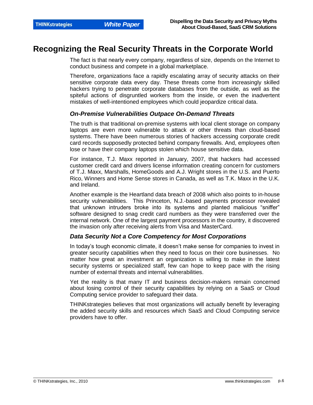### **Recognizing the Real Security Threats in the Corporate World**

The fact is that nearly every company, regardless of size, depends on the Internet to conduct business and compete in a global marketplace.

Therefore, organizations face a rapidly escalating array of security attacks on their sensitive corporate data every day. These threats come from increasingly skilled hackers trying to penetrate corporate databases from the outside, as well as the spiteful actions of disgruntled workers from the inside, or even the inadvertent mistakes of well-intentioned employees which could jeopardize critical data.

#### *On-Premise Vulnerabilities Outpace On-Demand Threats*

The truth is that traditional on-premise systems with local client storage on company laptops are even more vulnerable to attack or other threats than cloud-based systems. There have been numerous stories of hackers accessing corporate credit card records supposedly protected behind company firewalls. And, employees often lose or have their company laptops stolen which house sensitive data.

For instance, T.J. Maxx reported in January, 2007, that hackers had accessed customer credit card and drivers license information creating concern for customers of T.J. Maxx, Marshalls, HomeGoods and A.J. Wright stores in the U.S. and Puerto Rico, Winners and Home Sense stores in Canada, as well as T.K. Maxx in the U.K. and Ireland.

Another example is the Heartland data breach of 2008 which also points to in-house security vulnerabilities. This Princeton, N.J.-based payments processor revealed that unknown intruders broke into its systems and planted malicious "sniffer" software designed to snag credit card numbers as they were transferred over the internal network. One of the largest payment processors in the country, it discovered the invasion only after receiving alerts from Visa and MasterCard.

### *Data Security Not a Core Competency for Most Corporations*

In today"s tough economic climate, it doesn"t make sense for companies to invest in greater security capabilities when they need to focus on their core businesses. No matter how great an investment an organization is willing to make in the latest security systems or specialized staff, few can hope to keep pace with the rising number of external threats and internal vulnerabilities.

Yet the reality is that many IT and business decision-makers remain concerned about losing control of their security capabilities by relying on a SaaS or Cloud Computing service provider to safeguard their data.

THINKstrategies believes that most organizations will actually benefit by leveraging the added security skills and resources which SaaS and Cloud Computing service providers have to offer.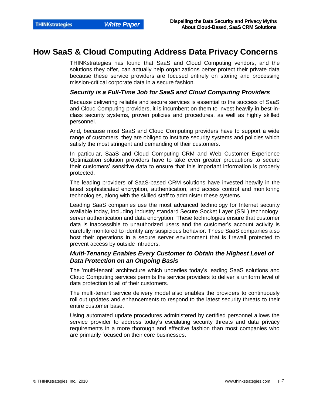### **How SaaS & Cloud Computing Address Data Privacy Concerns**

THINKstrategies has found that SaaS and Cloud Computing vendors, and the solutions they offer, can actually help organizations better protect their private data because these service providers are focused entirely on storing and processing mission-critical corporate data in a secure fashion.

#### *Security is a Full-Time Job for SaaS and Cloud Computing Providers*

Because delivering reliable and secure services is essential to the success of SaaS and Cloud Computing providers, it is incumbent on them to invest heavily in best-inclass security systems, proven policies and procedures, as well as highly skilled personnel.

And, because most SaaS and Cloud Computing providers have to support a wide range of customers, they are obliged to institute security systems and policies which satisfy the most stringent and demanding of their customers.

In particular, SaaS and Cloud Computing CRM and Web Customer Experience Optimization solution providers have to take even greater precautions to secure their customers" sensitive data to ensure that this important information is properly protected.

The leading providers of SaaS-based CRM solutions have invested heavily in the latest sophisticated encryption, authentication, and access control and monitoring technologies, along with the skilled staff to administer these systems.

Leading SaaS companies use the most advanced technology for Internet security available today, including industry standard Secure Socket Layer (SSL) technology, server authentication and data encryption. These technologies ensure that customer data is inaccessible to unauthorized users and the customer"s account activity is carefully monitored to identify any suspicious behavior. These SaaS companies also host their operations in a secure server environment that is firewall protected to prevent access by outside intruders.

### *Multi-Tenancy Enables Every Customer to Obtain the Highest Level of Data Protection on an Ongoing Basis*

The "multi-tenant" architecture which underlies today"s leading SaaS solutions and Cloud Computing services permits the service providers to deliver a uniform level of data protection to all of their customers.

The multi-tenant service delivery model also enables the providers to continuously roll out updates and enhancements to respond to the latest security threats to their entire customer base.

Using automated update procedures administered by certified personnel allows the service provider to address today"s escalating security threats and data privacy requirements in a more thorough and effective fashion than most companies who are primarily focused on their core businesses.